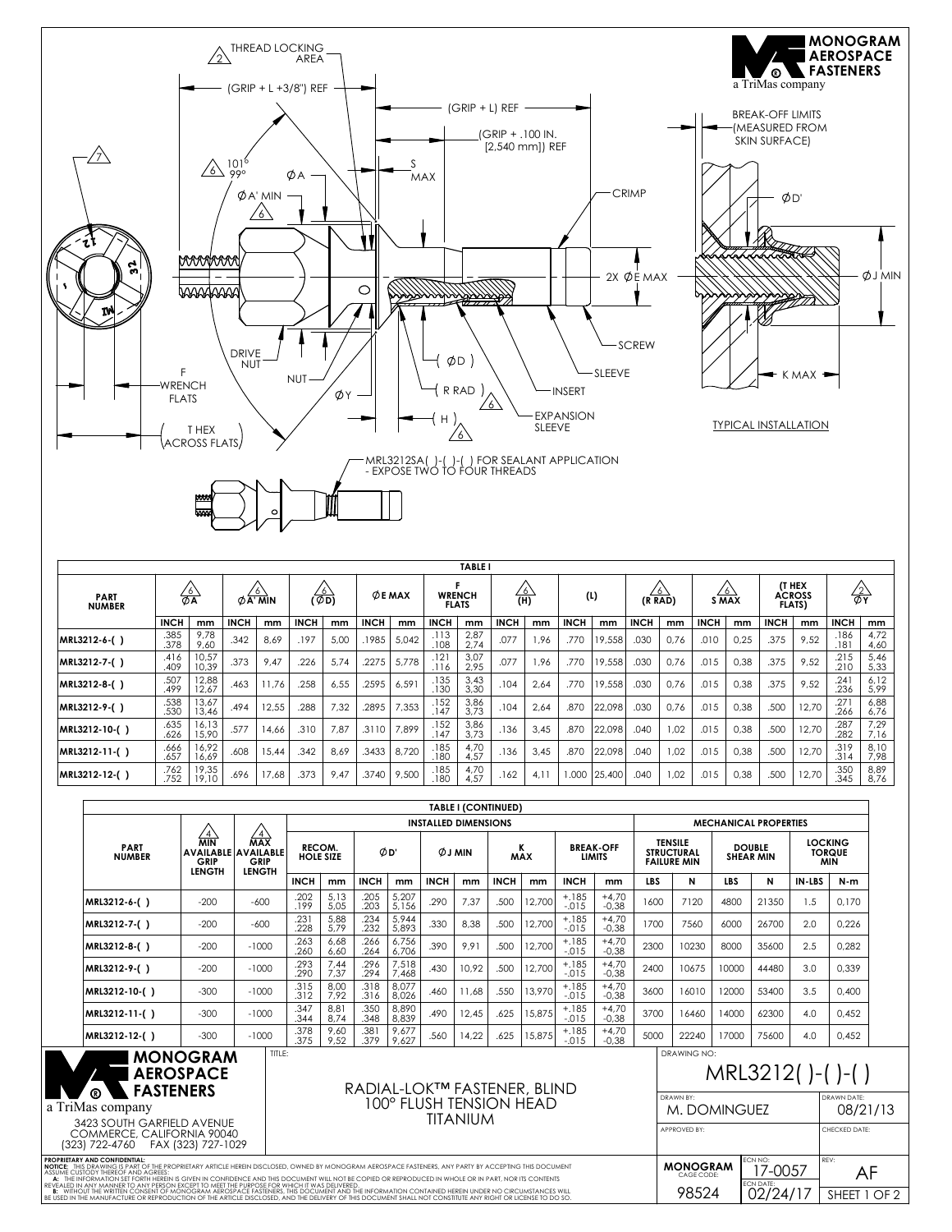

| <b>TABLE I</b>               |                |                |             |                          |             |      |             |                 |              |                               |                |      |             |        |             |                    |             |         |             |                                                 |               |              |
|------------------------------|----------------|----------------|-------------|--------------------------|-------------|------|-------------|-----------------|--------------|-------------------------------|----------------|------|-------------|--------|-------------|--------------------|-------------|---------|-------------|-------------------------------------------------|---------------|--------------|
| <b>PART</b><br><b>NUMBER</b> | $\frac{76}{6}$ |                |             | 6'<br>$\emptyset$ A' MIN |             | க்)  |             | $\varphi$ E MAX |              | <b>WRENCH</b><br><b>FLATS</b> | $\frac{76}{1}$ |      | (1)         |        |             | $\circ$<br>(R RAD) | S MAX       | $\circ$ |             | <b>IT HEX</b><br><b>ACROSS</b><br><b>FLATS)</b> | $\frac{2}{2}$ |              |
|                              | <b>INCH</b>    | mm             | <b>INCH</b> | mm                       | <b>INCH</b> | mm   | <b>INCH</b> | mm              | <b>INCH</b>  | mm                            | <b>INCH</b>    | mm   | <b>INCH</b> | mm     | <b>INCH</b> | mm                 | <b>INCH</b> | mm      | <b>INCH</b> | mm                                              | <b>INCH</b>   | mm           |
| MRL3212-6-()                 | .385<br>.378   | 9,78<br>9,60   | .342        | 8,69                     | .197        | 5.00 | 1985        | 5,042           | .113<br>.108 | 2,87<br>2,74                  | .077           | 1.96 | .770        | 19,558 | .03C        | 0,76               | .010        | 0,25    | .375        | 9,52                                            | .186<br>.181  | 4.72<br>4,60 |
| MRL3212-7-()                 | .416<br>.409   | 10,57<br>10,39 | .373        | 9.47                     | .226        | 5,74 | .2275       | 5,778           | .121<br>.116 | 3,07<br>2,95                  | .077           | 1.96 | .770        | 19,558 | .030        | 0.76               | .015        | 0.38    | .375        | 9.52                                            | .215<br>.210  | 5,46<br>5,33 |
| MRL3212-8-()                 | .507<br>.499   | 12,88<br>12,67 | .463        | 11.76                    | .258        | 6.55 | .2595       | 6,591           | .135<br>.130 | 3,43<br>3,30                  | .104           | 2.64 | .770        | 19,558 | .03C        | 0.76               | .015        | 0.38    | .375        | 9,52                                            | .241<br>.236  | 6.12<br>5,99 |
| MRL3212-9-()                 | .538<br>.530   | 13,67<br>13,46 | .494        | 12,55                    | .288        | 7,32 | .2895       | 7,353           | .152<br>.147 | 3,86<br>3.73                  | .104           | 2,64 | .870        | 22.098 | .03C        | 0.76               | .015        | 0,38    | .500        | 12,70                                           | .27'<br>.266  | 6,88<br>6,76 |
| MRL3212-10-()                | .635<br>.626   | 16,13<br>15,90 | .577        | 14,66                    | .310        | 7.87 | .3110       | 7,899           | .152<br>.147 | 3,86<br>3.73                  | .136           | 3,45 | .870        | 22,098 | .040        | 1.02               | .015        | 0,38    | .500        | 12,70                                           | .287<br>.282  | 7,29<br>7.16 |
| MRL3212-11-()                | .666<br>.657   | 16,92<br>16,69 | .608        | 15,44                    | .342        | 8.69 | .3433       | 8.720           | .185<br>.180 | 4,70<br>4.57                  | .136           | 3.45 | .870        | 22.098 | .040        | 1.02               | .015        | 0,38    | .500        | 12,70                                           | .319<br>.314  | 8.10<br>7.98 |
| MRL3212-12-()                | .762<br>.752   | 19,35<br>19.10 | .696        | 17,68                    | .373        | 9.47 | .3740       | 9,500           | .185<br>.180 | 4,70<br>4.57                  | .162           | 4.1  | 000.        | 25,400 | .040        | 1.02               | .015        | 0,38    | .500        | 12,70                                           | .350<br>.345  | 8,89<br>8,76 |

|                                                                                                                                                                                                                                                                                                                                                                                                                                                                                |                                                        |                                                                                 |                                     |              |                          |                |                                                            | TABLE I (CONTINUED) |                 |        |                                   |                    |                                                           |                               |                                   |                                        |                                               |            |
|--------------------------------------------------------------------------------------------------------------------------------------------------------------------------------------------------------------------------------------------------------------------------------------------------------------------------------------------------------------------------------------------------------------------------------------------------------------------------------|--------------------------------------------------------|---------------------------------------------------------------------------------|-------------------------------------|--------------|--------------------------|----------------|------------------------------------------------------------|---------------------|-----------------|--------|-----------------------------------|--------------------|-----------------------------------------------------------|-------------------------------|-----------------------------------|----------------------------------------|-----------------------------------------------|------------|
|                                                                                                                                                                                                                                                                                                                                                                                                                                                                                |                                                        |                                                                                 | <b>INSTALLED DIMENSIONS</b>         |              |                          |                |                                                            |                     |                 |        |                                   |                    |                                                           |                               | <b>MECHANICAL PROPERTIES</b>      |                                        |                                               |            |
| <b>PART</b><br><b>NUMBER</b>                                                                                                                                                                                                                                                                                                                                                                                                                                                   | $\frac{\sqrt{4}}{\text{MIN}}$<br>GRIP<br><b>LENGTH</b> | $\sqrt{4}$<br><b>MAX</b><br><b>AVAILABLE AVAILABLE</b><br>GRIP<br><b>LENGTH</b> | RECOM.<br><b>HOLE SIZE</b>          |              | ØD'                      |                | <b>ØJMIN</b>                                               |                     | к<br><b>MAX</b> |        | <b>BREAK-OFF</b><br><b>LIMITS</b> |                    | <b>TENSILE</b><br><b>STRUCTURAL</b><br><b>FAILURE MIN</b> |                               | <b>DOUBLE</b><br><b>SHEAR MIN</b> |                                        | <b>LOCKING</b><br><b>TORQUE</b><br><b>MIN</b> |            |
|                                                                                                                                                                                                                                                                                                                                                                                                                                                                                |                                                        |                                                                                 | <b>INCH</b>                         | mm           | <b>INCH</b>              | mm             | <b>INCH</b>                                                | mm                  | <b>INCH</b>     | mm     | <b>INCH</b>                       | mm                 | <b>LBS</b>                                                | N                             | LBS.                              | N                                      | IN-LBS                                        | $N-m$      |
| MRL3212-6-()                                                                                                                                                                                                                                                                                                                                                                                                                                                                   | $-200$                                                 | $-600$                                                                          | .202<br>.199                        | 5,13<br>5,05 | .205<br>.203             | 5,207<br>5,156 | .290                                                       | 7,37                | .500            | 12,700 | $+.185$<br>$-.015$                | $+4,70$<br>$-0,38$ | 1600                                                      | 7120                          | 4800                              | 21350                                  | 1.5                                           | 0,170      |
| MRL3212-7-()                                                                                                                                                                                                                                                                                                                                                                                                                                                                   | $-200$                                                 | $-600$                                                                          | .231<br>.228                        | 5,88<br>5,79 | .234<br>.232             | 5,944<br>5,893 | .330                                                       | 8,38                | .500            | 12,700 | $+.185$<br>$-.015$                | $+4,70$<br>$-0,38$ | 1700                                                      | 7560                          | 6000                              | 26700                                  | 2.0                                           | 0.226      |
| MRL3212-8-()                                                                                                                                                                                                                                                                                                                                                                                                                                                                   | $-200$                                                 | $-1000$                                                                         | .263<br>.260                        | 6,68<br>6,60 | .266<br>.264             | 6,756<br>6,706 | .390                                                       | 9,91                | .500            | 12,700 | $+.185$<br>$-.015$                | $+4,70$<br>$-0,38$ | 2300                                                      | 10230                         | 8000                              | 35600                                  | 2.5                                           | 0,282      |
| MRL3212-9-()                                                                                                                                                                                                                                                                                                                                                                                                                                                                   | $-200$                                                 | $-1000$                                                                         | .293<br>.290                        | 7,44<br>7,37 | .296<br>.294             | 7,518<br>7,468 | .430                                                       | 10.92               | .500            | 12,700 | $+.185$<br>$-.015$                | $+4,70$<br>$-0,38$ | 2400                                                      | 10675                         | 10000                             | 44480                                  | 3.0                                           | 0.339      |
| MRL3212-10-()                                                                                                                                                                                                                                                                                                                                                                                                                                                                  | $-300$                                                 | $-1000$                                                                         | .315<br>.312                        | 8,00<br>7,92 | .318<br>.316             | 8.077<br>8,026 | .460                                                       | 11.68               | .550            | 13,970 | $+.185$<br>$-.015$                | $+4,70$<br>$-0.38$ | 3600                                                      | 16010                         | 12000                             | 53400                                  | 3.5                                           | 0.400      |
| MRL3212-11-()                                                                                                                                                                                                                                                                                                                                                                                                                                                                  | $-300$                                                 | $-1000$                                                                         | .347<br>.344                        | 8,81<br>8,74 | .350<br>.348             | 8,890<br>8.839 | .490                                                       | 12.45               | .625            | 15,875 | $+.185$<br>$-.015$                | $+4,70$<br>$-0.38$ | 3700                                                      | 16460                         | 14000                             | 62300                                  | 4.0                                           | 0.452      |
| MRL3212-12-()                                                                                                                                                                                                                                                                                                                                                                                                                                                                  | $-300$                                                 | $-1000$                                                                         | .378<br>.375                        | 9,60<br>9.52 | .38 <sup>°</sup><br>.379 | 9,677<br>9.627 | .560                                                       | 14.22               | .625            | 15,875 | $+.185$<br>$-.015$                | $+4,70$<br>$-0.38$ | 5000                                                      | 22240                         | 17000                             | 75600                                  | 4.0                                           | 0.452      |
| TITLE:<br><b>MONOGRAM</b><br><b>AEROSPACE</b><br>RADIAL-LOK™ FASTENER, BLIND<br><b>FASTENERS</b>                                                                                                                                                                                                                                                                                                                                                                               |                                                        |                                                                                 |                                     |              |                          |                | DRAWING NO:<br>MRL3212()-()-()<br>DRAWN BY:<br>DRAWN DATF: |                     |                 |        |                                   |                    |                                                           |                               |                                   |                                        |                                               |            |
| a TriMas company                                                                                                                                                                                                                                                                                                                                                                                                                                                               |                                                        |                                                                                 | 100° FLUSH TENSION HEAD<br>TITANIUM |              |                          |                |                                                            |                     |                 |        |                                   | M. DOMINGUEZ       |                                                           |                               |                                   | 08/21/13                               |                                               |            |
| 3423 SOUTH GARFIELD AVENUE<br>COMMERCE, CALIFORNIA 90040<br>(323) 722-4760    FAX (323) 727-1029                                                                                                                                                                                                                                                                                                                                                                               |                                                        |                                                                                 |                                     |              |                          |                |                                                            |                     |                 |        |                                   |                    | APPROVED BY:                                              |                               |                                   |                                        | CHECKED DATE:                                 |            |
| <b>PROPRIETARY AND CONFIDENTIAL:</b><br>NOTICE: THIS DRAWING IS PART OF THE PROPRIETARY ARTICLE HEREIN DISCLOSED. OWNED BY MONOGRAM AEROSPACE FASTENERS. ANY PARTY BY ACCEPTING THIS DOCUMENT<br>ASSUME CUSTODY THEREOF AND AGREES<br>A: THE INFORMATION SET FORTH HEREIN IS GIVEN IN CONFIDENCE AND THIS DOCUMENT WILL NOT BE COPIED OR REPRODUCED IN WHOLE OR IN PART, NOR ITS CONTENTS<br>IN ANY MANNER TO ANY PERSON EXCEPT TO MEET THE PURPOSE FOR WHICH IT WAS DELIVERED |                                                        |                                                                                 |                                     |              |                          |                |                                                            |                     |                 |        |                                   |                    |                                                           | <b>MONOGRAM</b><br>CAGE CODE: |                                   | ECN NO:<br>17-0057<br><b>ECN DATE:</b> |                                               | REV:<br>AF |